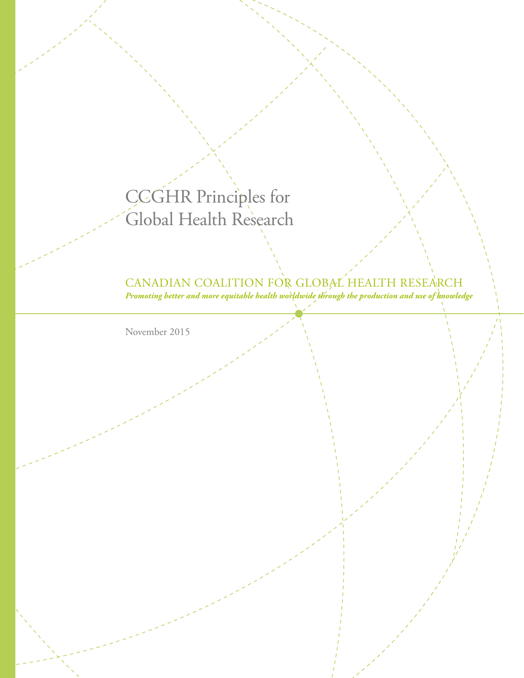# CCGHR Principles for Global Health Research

## CANADIAN COALITION FOR GLOBAL HEALTH RESEARCH

*Promoting better and more equitable health worldwide through the production and use of knowledge*

November 2015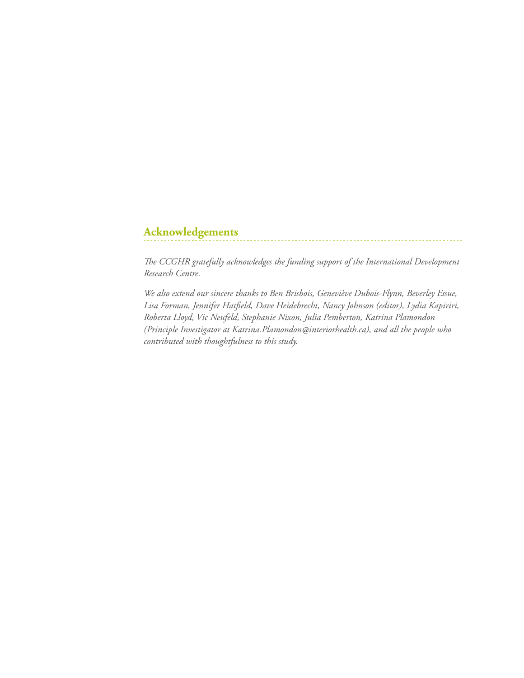## **Acknowledgements**

*The CCGHR gratefully acknowledges the funding support of the International Development Research Centre.* 

*We also extend our sincere thanks to Ben Brisbois, Geneviève Dubois-Flynn, Beverley Essue, Lisa Forman, Jennifer Hatfield, Dave Heidebrecht, Nancy Johnson (editor), Lydia Kapiriri, Roberta Lloyd, Vic Neufeld, Stephanie Nixon, Julia Pemberton, Katrina Plamondon (Principle Investigator at Katrina.Plamondon@interiorhealth.ca), and all the people who contributed with thoughtfulness to this study.*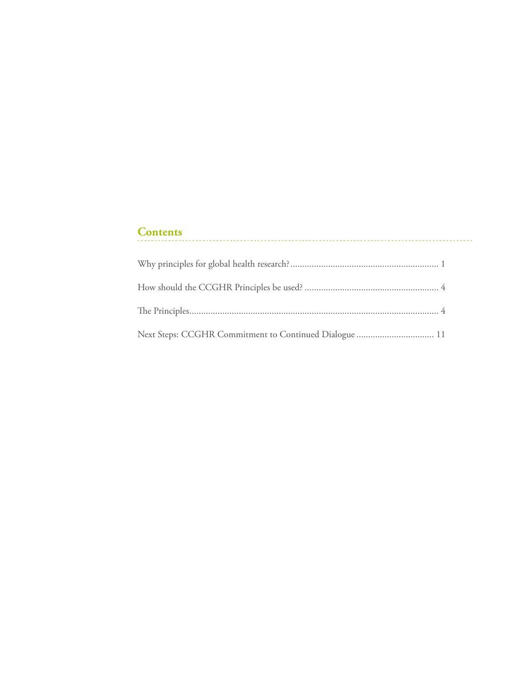## **Contents**

| Next Steps: CCGHR Commitment to Continued Dialogue  11 |  |
|--------------------------------------------------------|--|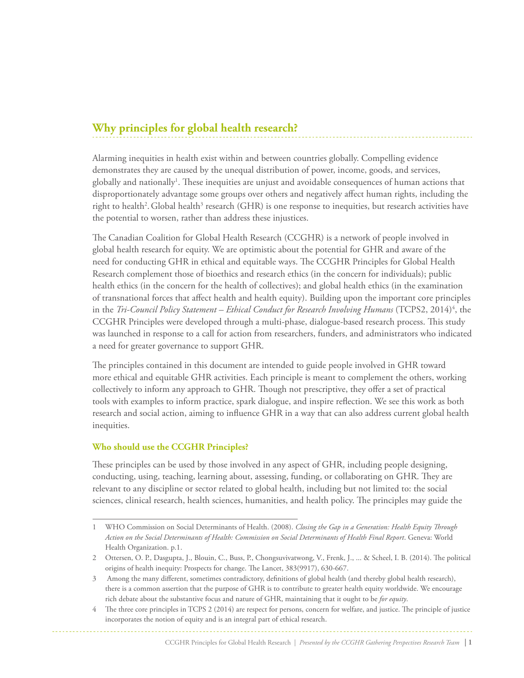## **Why principles for global health research?**

Alarming inequities in health exist within and between countries globally. Compelling evidence demonstrates they are caused by the unequal distribution of power, income, goods, and services, globally and nationally<sup>1</sup>. These inequities are unjust and avoidable consequences of human actions that disproportionately advantage some groups over others and negatively affect human rights, including the right to health<sup>2</sup>. Global health<sup>3</sup> research (GHR) is one response to inequities, but research activities have the potential to worsen, rather than address these injustices.

The Canadian Coalition for Global Health Research (CCGHR) is a network of people involved in global health research for equity. We are optimistic about the potential for GHR and aware of the need for conducting GHR in ethical and equitable ways. The CCGHR Principles for Global Health Research complement those of bioethics and research ethics (in the concern for individuals); public health ethics (in the concern for the health of collectives); and global health ethics (in the examination of transnational forces that affect health and health equity). Building upon the important core principles in the *Tri-Council Policy Statement – Ethical Conduct for Research Involving Humans* (TCPS2, 2014)<sup>4</sup>, the CCGHR Principles were developed through a multi-phase, dialogue-based research process. This study was launched in response to a call for action from researchers, funders, and administrators who indicated a need for greater governance to support GHR.

The principles contained in this document are intended to guide people involved in GHR toward more ethical and equitable GHR activities. Each principle is meant to complement the others, working collectively to inform any approach to GHR. Though not prescriptive, they offer a set of practical tools with examples to inform practice, spark dialogue, and inspire reflection. We see this work as both research and social action, aiming to influence GHR in a way that can also address current global health inequities.

#### **Who should use the CCGHR Principles?**

These principles can be used by those involved in any aspect of GHR, including people designing, conducting, using, teaching, learning about, assessing, funding, or collaborating on GHR. They are relevant to any discipline or sector related to global health, including but not limited to: the social sciences, clinical research, health sciences, humanities, and health policy. The principles may guide the

<sup>1</sup> WHO Commission on Social Determinants of Health. (2008). *Closing the Gap in a Generation: Health Equity Through Action on the Social Determinants of Health: Commission on Social Determinants of Health Final Report*. Geneva: World Health Organization. p.1.

<sup>2</sup> Ottersen, O. P., Dasgupta, J., Blouin, C., Buss, P., Chongsuvivatwong, V., Frenk, J., ... & Scheel, I. B. (2014). The political origins of health inequity: Prospects for change. The Lancet, 383(9917), 630-667.

<sup>3</sup> Among the many different, sometimes contradictory, definitions of global health (and thereby global health research), there is a common assertion that the purpose of GHR is to contribute to greater health equity worldwide. We encourage rich debate about the substantive focus and nature of GHR, maintaining that it ought to be *for equity*.

<sup>4</sup> The three core principles in TCPS 2 (2014) are respect for persons, concern for welfare, and justice. The principle of justice incorporates the notion of equity and is an integral part of ethical research.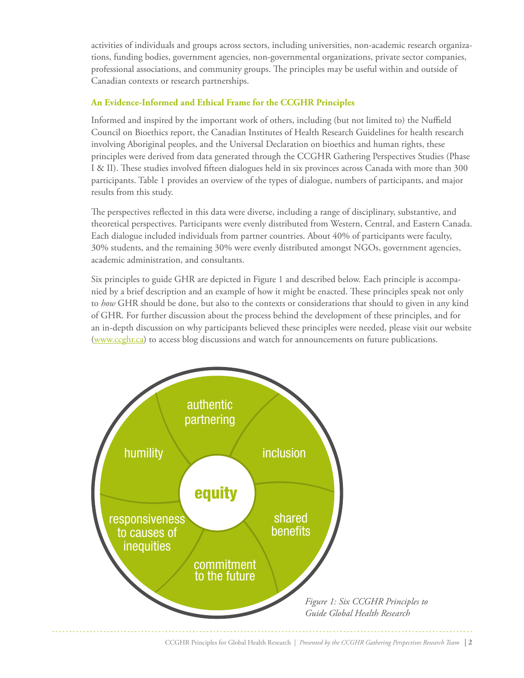activities of individuals and groups across sectors, including universities, non-academic research organizations, funding bodies, government agencies, non-governmental organizations, private sector companies, professional associations, and community groups. The principles may be useful within and outside of Canadian contexts or research partnerships.

#### **An Evidence-Informed and Ethical Frame for the CCGHR Principles**

Informed and inspired by the important work of others, including (but not limited to) the Nuffield Council on Bioethics report, the Canadian Institutes of Health Research Guidelines for health research involving Aboriginal peoples, and the Universal Declaration on bioethics and human rights, these principles were derived from data generated through the CCGHR Gathering Perspectives Studies (Phase I & II). These studies involved fifteen dialogues held in six provinces across Canada with more than 300 participants. Table 1 provides an overview of the types of dialogue, numbers of participants, and major results from this study.

The perspectives reflected in this data were diverse, including a range of disciplinary, substantive, and theoretical perspectives. Participants were evenly distributed from Western, Central, and Eastern Canada. Each dialogue included individuals from partner countries. About 40% of participants were faculty, 30% students, and the remaining 30% were evenly distributed amongst NGOs, government agencies, academic administration, and consultants.

Six principles to guide GHR are depicted in Figure 1 and described below. Each principle is accompanied by a brief description and an example of how it might be enacted. These principles speak not only to *how* GHR should be done, but also to the contexts or considerations that should to given in any kind of GHR. For further discussion about the process behind the development of these principles, and for an in-depth discussion on why participants believed these principles were needed, please visit our website (www.ccghr.ca) to access blog discussions and watch for announcements on future publications.

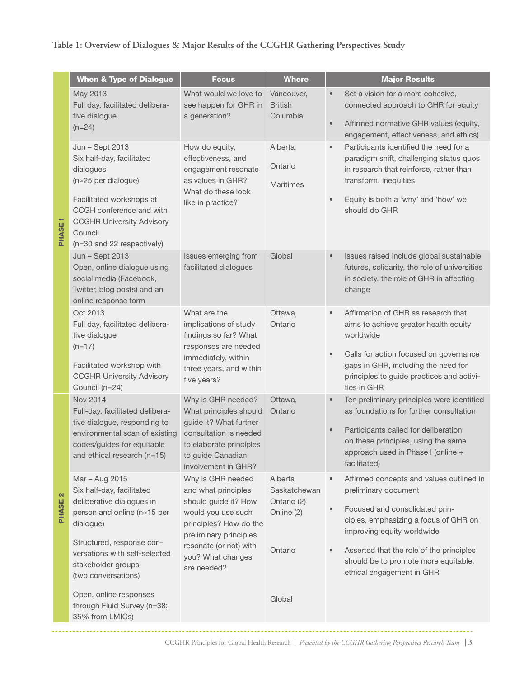### **Table 1: Overview of Dialogues & Major Results of the CCGHR Gathering Perspectives Study**

|  | <b>When &amp; Type of Dialogue</b>                                                                                                                                                                                              | <b>Focus</b>                                                                                                                                                                                             | <b>Where</b>                                                    | <b>Major Results</b>                                                                                                                                                                                                                                                                                                              |
|--|---------------------------------------------------------------------------------------------------------------------------------------------------------------------------------------------------------------------------------|----------------------------------------------------------------------------------------------------------------------------------------------------------------------------------------------------------|-----------------------------------------------------------------|-----------------------------------------------------------------------------------------------------------------------------------------------------------------------------------------------------------------------------------------------------------------------------------------------------------------------------------|
|  | May 2013<br>Full day, facilitated delibera-<br>tive dialogue<br>$(n=24)$                                                                                                                                                        | What would we love to<br>see happen for GHR in<br>a generation?                                                                                                                                          | Vancouver,<br><b>British</b><br>Columbia                        | Set a vision for a more cohesive,<br>$\bullet$<br>connected approach to GHR for equity<br>Affirmed normative GHR values (equity,<br>$\bullet$<br>engagement, effectiveness, and ethics)                                                                                                                                           |
|  | Jun - Sept 2013<br>Six half-day, facilitated<br>dialogues<br>$(n \approx 25$ per dialogue)<br>Facilitated workshops at<br>CCGH conference and with<br><b>CCGHR University Advisory</b><br>Council<br>(n=30 and 22 respectively) | How do equity,<br>effectiveness, and<br>engagement resonate<br>as values in GHR?<br>What do these look<br>like in practice?                                                                              | Alberta<br>Ontario<br><b>Maritimes</b>                          | Participants identified the need for a<br>$\qquad \qquad \bullet$<br>paradigm shift, challenging status quos<br>in research that reinforce, rather than<br>transform, inequities<br>Equity is both a 'why' and 'how' we<br>$\bullet$<br>should do GHR                                                                             |
|  | Jun - Sept 2013<br>Open, online dialogue using<br>social media (Facebook,<br>Twitter, blog posts) and an<br>online response form                                                                                                | Issues emerging from<br>facilitated dialogues                                                                                                                                                            | Global                                                          | Issues raised include global sustainable<br>$\bullet$<br>futures, solidarity, the role of universities<br>in society, the role of GHR in affecting<br>change                                                                                                                                                                      |
|  | Oct 2013<br>Full day, facilitated delibera-<br>tive dialogue<br>$(n=17)$<br>Facilitated workshop with<br><b>CCGHR University Advisory</b><br>Council (n=24)                                                                     | What are the<br>implications of study<br>findings so far? What<br>responses are needed<br>immediately, within<br>three years, and within<br>five years?                                                  | Ottawa,<br>Ontario                                              | Affirmation of GHR as research that<br>$\bullet$<br>aims to achieve greater health equity<br>worldwide<br>Calls for action focused on governance<br>$\bullet$<br>gaps in GHR, including the need for<br>principles to guide practices and activi-<br>ties in GHR                                                                  |
|  | Nov 2014<br>Full-day, facilitated delibera-<br>tive dialogue, responding to<br>environmental scan of existing<br>codes/guides for equitable<br>and ethical research $(n=15)$                                                    | Why is GHR needed?<br>What principles should<br>guide it? What further<br>consultation is needed<br>to elaborate principles<br>to guide Canadian<br>involvement in GHR?                                  | Ottawa,<br>Ontario                                              | Ten preliminary principles were identified<br>$\bullet$<br>as foundations for further consultation<br>Participants called for deliberation<br>$\qquad \qquad \bullet$<br>on these principles, using the same<br>approach used in Phase I (online +<br>facilitated)                                                                |
|  | Mar - Aug 2015<br>Six half-day, facilitated<br>deliberative dialogues in<br>person and online (n≈15 per<br>dialogue)<br>Structured, response con-<br>versations with self-selected<br>stakeholder groups<br>(two conversations) | Why is GHR needed<br>and what principles<br>should guide it? How<br>would you use such<br>principles? How do the<br>preliminary principles<br>resonate (or not) with<br>you? What changes<br>are needed? | Alberta<br>Saskatchewan<br>Ontario (2)<br>Online (2)<br>Ontario | Affirmed concepts and values outlined in<br>$\bullet$<br>preliminary document<br>Focused and consolidated prin-<br>$\bullet$<br>ciples, emphasizing a focus of GHR on<br>improving equity worldwide<br>Asserted that the role of the principles<br>$\bullet$<br>should be to promote more equitable,<br>ethical engagement in GHR |
|  | Open, online responses<br>through Fluid Survey (n=38;<br>35% from LMICs)                                                                                                                                                        |                                                                                                                                                                                                          | Global                                                          |                                                                                                                                                                                                                                                                                                                                   |

**PHASE I** PHASE I

**PHASE 2** PHASE 2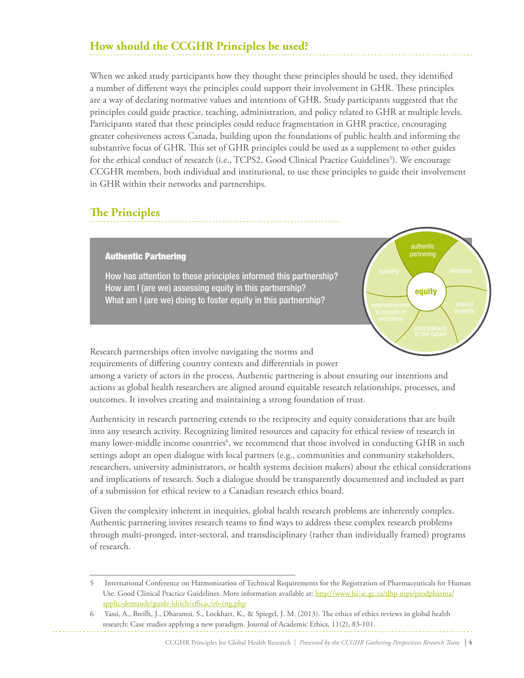## **How should the CCGHR Principles be used?**

When we asked study participants how they thought these principles should be used, they identified a number of different ways the principles could support their involvement in GHR. These principles are a way of declaring normative values and intentions of GHR. Study participants suggested that the principles could guide practice, teaching, administration, and policy related to GHR at multiple levels. Participants stated that these principles could reduce fragmentation in GHR practice, encouraging greater cohesiveness across Canada, building upon the foundations of public health and informing the substantive focus of GHR. This set of GHR principles could be used as a supplement to other guides for the ethical conduct of research (i.e., TCPS2, Good Clinical Practice Guidelines<sup>5</sup>). We encourage CCGHR members, both individual and institutional, to use these principles to guide their involvement in GHR within their networks and partnerships.

### **The Principles**

#### Authentic Partnering

How has attention to these principles informed this partnership? How am I (are we) assessing equity in this partnership? What am I (are we) doing to foster equity in this partnership?



Research partnerships often involve navigating the norms and requirements of differing country contexts and differentials in power

among a variety of actors in the process. Authentic partnering is about ensuring our intentions and actions as global health researchers are aligned around equitable research relationships, processes, and outcomes. It involves creating and maintaining a strong foundation of trust.

Authenticity in research partnering extends to the reciprocity and equity considerations that are built into any research activity. Recognizing limited resources and capacity for ethical review of research in many lower-middle income countries<sup>6</sup>, we recommend that those involved in conducting GHR in such settings adopt an open dialogue with local partners (e.g., communities and community stakeholders, researchers, university administrators, or health systems decision makers) about the ethical considerations and implications of research. Such a dialogue should be transparently documented and included as part of a submission for ethical review to a Canadian research ethics board.

Given the complexity inherent in inequities, global health research problems are inherently complex. Authentic partnering invites research teams to find ways to address these complex research problems through multi-pronged, inter-sectoral, and transdisciplinary (rather than individually framed) programs of research.

<sup>5</sup> International Conference on Harmonization of Technical Requirements for the Registration of Pharmaceuticals for Human Use. Good Clinical Practice Guidelines. More information available at: http://www.hc-sc.gc.ca/dhp-mps/prodpharma/ applic-demande/guide-ld/ich/efficac/e6-eng.php

<sup>6</sup> Yassi, A., Breilh, J., Dharamsi, S., Lockhart, K., & Spiegel, J. M. (2013). The ethics of ethics reviews in global health research: Case studies applying a new paradigm. Journal of Academic Ethics, 11(2), 83-101.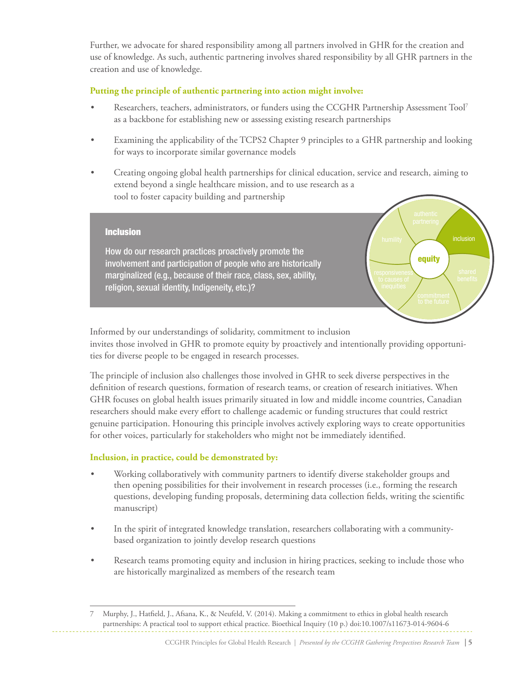Further, we advocate for shared responsibility among all partners involved in GHR for the creation and use of knowledge. As such, authentic partnering involves shared responsibility by all GHR partners in the creation and use of knowledge.

#### **Putting the principle of authentic partnering into action might involve:**

- Researchers, teachers, administrators, or funders using the CCGHR Partnership Assessment Tool<sup>7</sup> as a backbone for establishing new or assessing existing research partnerships
- Examining the applicability of the TCPS2 Chapter 9 principles to a GHR partnership and looking for ways to incorporate similar governance models
- Creating ongoing global health partnerships for clinical education, service and research, aiming to extend beyond a single healthcare mission, and to use research as a tool to foster capacity building and partnership

equity

responsiveness

#### Inclusion

How do our research practices proactively promote the involvement and participation of people who are historically marginalized (e.g., because of their race, class, sex, ability, religion, sexual identity, Indigeneity, etc.)?

Informed by our understandings of solidarity, commitment to inclusion invites those involved in GHR to promote equity by proactively and intentionally providing opportunities for diverse people to be engaged in research processes.

The principle of inclusion also challenges those involved in GHR to seek diverse perspectives in the definition of research questions, formation of research teams, or creation of research initiatives. When GHR focuses on global health issues primarily situated in low and middle income countries, Canadian researchers should make every effort to challenge academic or funding structures that could restrict genuine participation. Honouring this principle involves actively exploring ways to create opportunities for other voices, particularly for stakeholders who might not be immediately identified.

#### **Inclusion, in practice, could be demonstrated by:**

- Working collaboratively with community partners to identify diverse stakeholder groups and then opening possibilities for their involvement in research processes (i.e., forming the research questions, developing funding proposals, determining data collection fields, writing the scientific manuscript)
- In the spirit of integrated knowledge translation, researchers collaborating with a communitybased organization to jointly develop research questions
- Research teams promoting equity and inclusion in hiring practices, seeking to include those who are historically marginalized as members of the research team

<sup>7</sup> Murphy, J., Hatfield, J., Afsana, K., & Neufeld, V. (2014). Making a commitment to ethics in global health research partnerships: A practical tool to support ethical practice. Bioethical Inquiry (10 p.) doi:10.1007/s11673-014-9604-6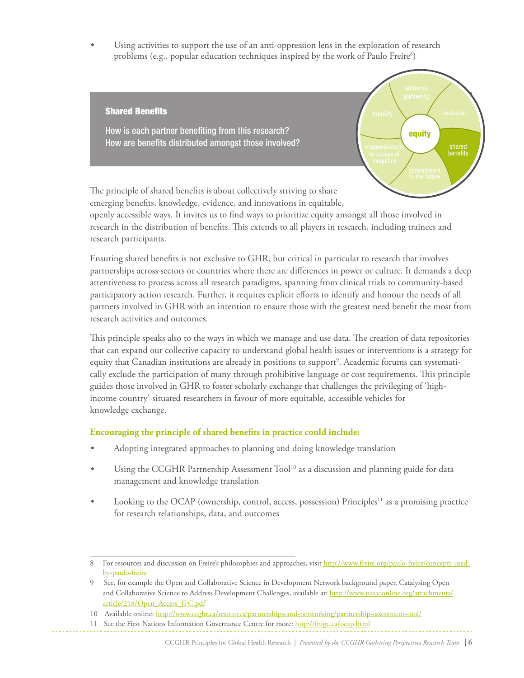Using activities to support the use of an anti-oppression lens in the exploration of research problems (e.g., popular education techniques inspired by the work of Paulo Freire<sup>8</sup>)



emerging benefits, knowledge, evidence, and innovations in equitable,

openly accessible ways. It invites us to find ways to prioritize equity amongst all those involved in research in the distribution of benefits. This extends to all players in research, including trainees and research participants.

Ensuring shared benefits is not exclusive to GHR, but critical in particular to research that involves partnerships across sectors or countries where there are differences in power or culture. It demands a deep attentiveness to process across all research paradigms, spanning from clinical trials to community-based participatory action research. Further, it requires explicit efforts to identify and honour the needs of all partners involved in GHR with an intention to ensure those with the greatest need benefit the most from research activities and outcomes.

This principle speaks also to the ways in which we manage and use data. The creation of data repositories that can expand our collective capacity to understand global health issues or interventions is a strategy for equity that Canadian institutions are already in positions to support<sup>9</sup>. Academic forums can systematically exclude the participation of many through prohibitive language or cost requirements. This principle guides those involved in GHR to foster scholarly exchange that challenges the privileging of 'highincome country'-situated researchers in favour of more equitable, accessible vehicles for knowledge exchange.

#### **Encouraging the principle of shared benefits in practice could include:**

- Adopting integrated approaches to planning and doing knowledge translation
- Using the CCGHR Partnership Assessment Tool<sup>10</sup> as a discussion and planning guide for data management and knowledge translation
- Looking to the OCAP (ownership, control, access, possession)  $Principles<sup>11</sup>$  as a promising practice for research relationships, data, and outcomes

<sup>8</sup> For resources and discussion on Freire's philosophies and approaches, visit http://www.freire.org/paulo-freire/concepts-usedby-paulo-freire

<sup>9</sup> See, for example the Open and Collaborative Science in Development Network background paper, Catalysing Open and Collaborative Science to Address Development Challenges, available at: http://www.nasaconline.org/attachments/ article/218/Open\_Access\_JFC.pdf

<sup>10</sup> Available online: http://www.ccghr.ca/resources/partnerships-and-networking/partnership-assessment-tool/

<sup>11</sup> See the First Nations Information Governance Centre for more: http://fnigc.ca/ocap.html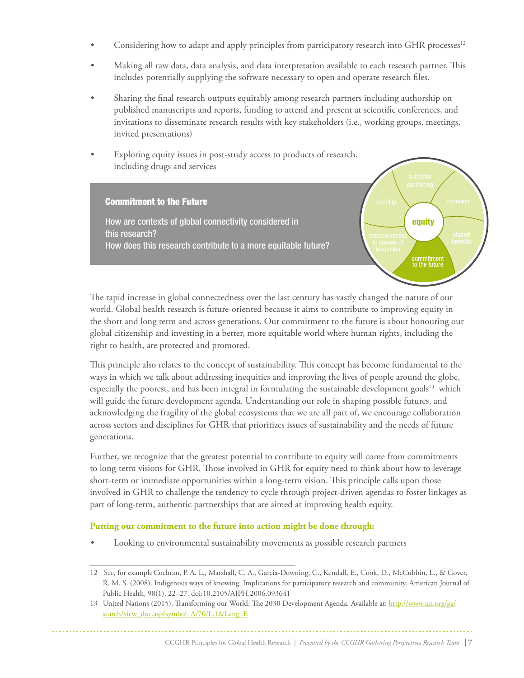- Considering how to adapt and apply principles from participatory research into GHR processes $12$
- Making all raw data, data analysis, and data interpretation available to each research partner. This includes potentially supplying the software necessary to open and operate research files.
- Sharing the final research outputs equitably among research partners including authorship on published manuscripts and reports, funding to attend and present at scientific conferences, and invitations to disseminate research results with key stakeholders (i.e., working groups, meetings, invited presentations)
- Exploring equity issues in post-study access to products of research, including drugs and services

How are contexts of global connectivity considered in

Commitment to the Future

this research?



The rapid increase in global connectedness over the last century has vastly changed the nature of our world. Global health research is future-oriented because it aims to contribute to improving equity in the short and long term and across generations. Our commitment to the future is about honouring our global citizenship and investing in a better, more equitable world where human rights, including the right to health, are protected and promoted.

This principle also relates to the concept of sustainability. This concept has become fundamental to the ways in which we talk about addressing inequities and improving the lives of people around the globe, especially the poorest, and has been integral in formulating the sustainable development goals $13$  which will guide the future development agenda. Understanding our role in shaping possible futures, and acknowledging the fragility of the global ecosystems that we are all part of, we encourage collaboration across sectors and disciplines for GHR that prioritizes issues of sustainability and the needs of future generations.

Further, we recognize that the greatest potential to contribute to equity will come from commitments to long-term visions for GHR. Those involved in GHR for equity need to think about how to leverage short-term or immediate opportunities within a long-term vision. This principle calls upon those involved in GHR to challenge the tendency to cycle through project-driven agendas to foster linkages as part of long-term, authentic partnerships that are aimed at improving health equity.

#### **Putting our commitment to the future into action might be done through:**

Looking to environmental sustainability movements as possible research partners

<sup>12</sup> See, for exampleCochran, P. A. L., Marshall, C. A., Garcia-Downing, C., Kendall, E., Cook, D., McCubbin, L., & Gover, R. M. S. (2008). Indigenous ways of knowing: Implications for participatory research and community. American Journal of Public Health, 98(1), 22–27. doi:10.2105/AJPH.2006.093641

<sup>13</sup> United Nations (2015). Transforming our World: The 2030 Development Agenda. Available at: http://www.un.org/ga/ search/view\_doc.asp?symbol=A/70/L.1&Lang=E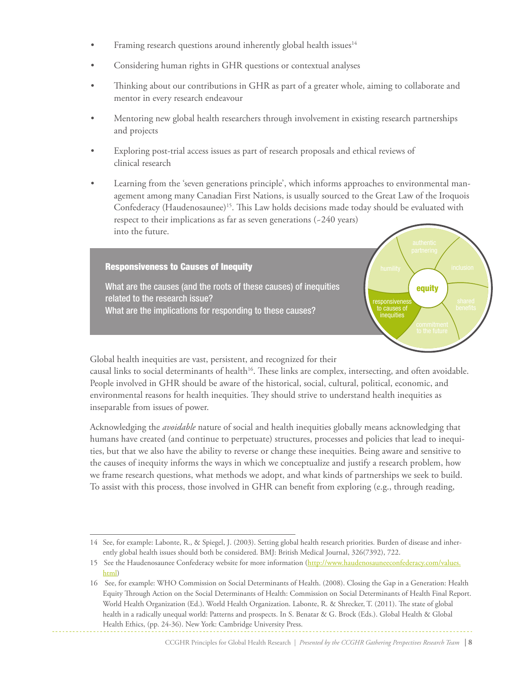- Framing research questions around inherently global health issues $14$
- Considering human rights in GHR questions or contextual analyses
- Thinking about our contributions in GHR as part of a greater whole, aiming to collaborate and mentor in every research endeavour
- Mentoring new global health researchers through involvement in existing research partnerships and projects
- • Exploring post-trial access issues as part of research proposals and ethical reviews of clinical research
- Learning from the 'seven generations principle', which informs approaches to environmental management among many Canadian First Nations, is usually sourced to the Great Law of the Iroquois Confederacy (Haudenosaunee)<sup>15</sup>. This Law holds decisions made today should be evaluated with respect to their implications as far as seven generations (~240 years) into the future.

#### Responsiveness to Causes of Inequity

What are the causes (and the roots of these causes) of inequities related to the research issue? What are the implications for responding to these causes?

equity humility inclusion responsiveness inequities

Global health inequities are vast, persistent, and recognized for their

causal links to social determinants of health<sup>16</sup>. These links are complex, intersecting, and often avoidable. People involved in GHR should be aware of the historical, social, cultural, political, economic, and environmental reasons for health inequities. They should strive to understand health inequities as inseparable from issues of power.

Acknowledging the *avoidable* nature of social and health inequities globally means acknowledging that humans have created (and continue to perpetuate) structures, processes and policies that lead to inequities, but that we also have the ability to reverse or change these inequities. Being aware and sensitive to the causes of inequity informs the ways in which we conceptualize and justify a research problem, how we frame research questions, what methods we adopt, and what kinds of partnerships we seek to build. To assist with this process, those involved in GHR can benefit from exploring (e.g., through reading,

CCGHR Principles for Global Health Research | *Presented by the CCGHR Gathering Perspectives Research Team* **| 8**

<sup>14</sup> See, for example: Labonte, R., & Spiegel, J. (2003). Setting global health research priorities. Burden of disease and inherently global health issues should both be considered. BMJ: British Medical Journal, 326(7392), 722.

<sup>15</sup> See the Haudenosaunee Confederacy website for more information (http://www.haudenosauneeconfederacy.com/values. html)

<sup>16</sup> See, for example: WHO Commission on Social Determinants of Health. (2008). Closing the Gap in a Generation: Health Equity Through Action on the Social Determinants of Health: Commission on Social Determinants of Health Final Report. World Health Organization (Ed.). World Health Organization. Labonte, R. & Shrecker, T. (2011). The state of global health in a radically unequal world: Patterns and prospects. In S. Benatar & G. Brock (Eds.). Global Health & Global Health Ethics, (pp. 24-36). New York: Cambridge University Press.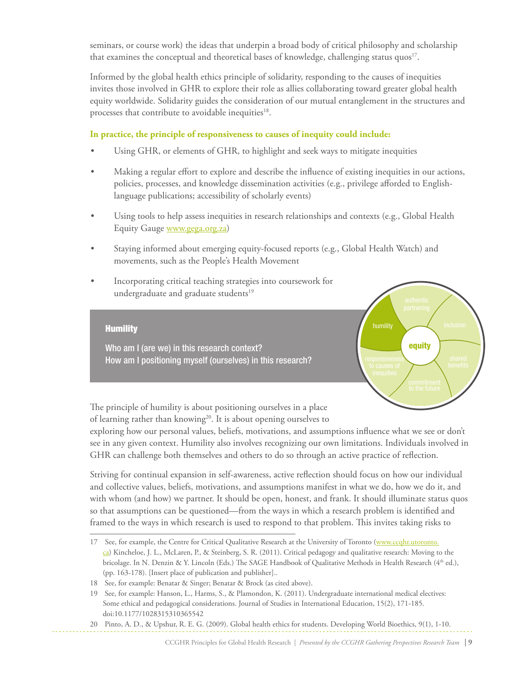seminars, or course work) the ideas that underpin a broad body of critical philosophy and scholarship that examines the conceptual and theoretical bases of knowledge, challenging status quos<sup>17</sup>.

Informed by the global health ethics principle of solidarity, responding to the causes of inequities invites those involved in GHR to explore their role as allies collaborating toward greater global health equity worldwide. Solidarity guides the consideration of our mutual entanglement in the structures and processes that contribute to avoidable inequities<sup>18</sup>.

#### **In practice, the principle of responsiveness to causes of inequity could include:**

- Using GHR, or elements of GHR, to highlight and seek ways to mitigate inequities
- Making a regular effort to explore and describe the influence of existing inequities in our actions, policies, processes, and knowledge dissemination activities (e.g., privilege afforded to Englishlanguage publications; accessibility of scholarly events)
- • Using tools to help assess inequities in research relationships and contexts (e.g., Global Health Equity Gauge www.gega.org.za)
- Staying informed about emerging equity-focused reports (e.g., Global Health Watch) and movements, such as the People's Health Movement
- Incorporating critical teaching strategies into coursework for undergraduate and graduate students<sup>19</sup>

#### **Humility**

Who am I (are we) in this research context? How am I positioning myself (ourselves) in this research?



The principle of humility is about positioning ourselves in a place of learning rather than knowing<sup>20</sup>. It is about opening ourselves to

exploring how our personal values, beliefs, motivations, and assumptions influence what we see or don't see in any given context. Humility also involves recognizing our own limitations. Individuals involved in GHR can challenge both themselves and others to do so through an active practice of reflection.

Striving for continual expansion in self-awareness, active reflection should focus on how our individual and collective values, beliefs, motivations, and assumptions manifest in what we do, how we do it, and with whom (and how) we partner. It should be open, honest, and frank. It should illuminate status quos so that assumptions can be questioned—from the ways in which a research problem is identified and framed to the ways in which research is used to respond to that problem. This invites taking risks to

20 Pinto, A. D., & Upshur, R. E. G. (2009). Global health ethics for students. Developing World Bioethics, 9(1), 1-10.

<sup>17</sup> See, for example, the Centre for Critical Qualitative Research at the University of Toronto (www.ccqhr.utoronto. ca) Kincheloe, J. L., McLaren, P., & Steinberg, S. R. (2011). Critical pedagogy and qualitative research: Moving to the bricolage. In N. Denzin & Y. Lincoln (Eds.) The SAGE Handbook of Qualitative Methods in Health Research (4<sup>th</sup> ed.), (pp. 163-178). [Insert place of publication and publisher]..

<sup>18</sup> See, for example: Benatar & Singer; Benatar & Brock (as cited above).

<sup>19</sup> See, for example: Hanson, L., Harms, S., & Plamondon, K. (2011). Undergraduate international medical electives: Some ethical and pedagogical considerations. Journal of Studies in International Education, 15(2), 171-185. doi:10.1177/1028315310365542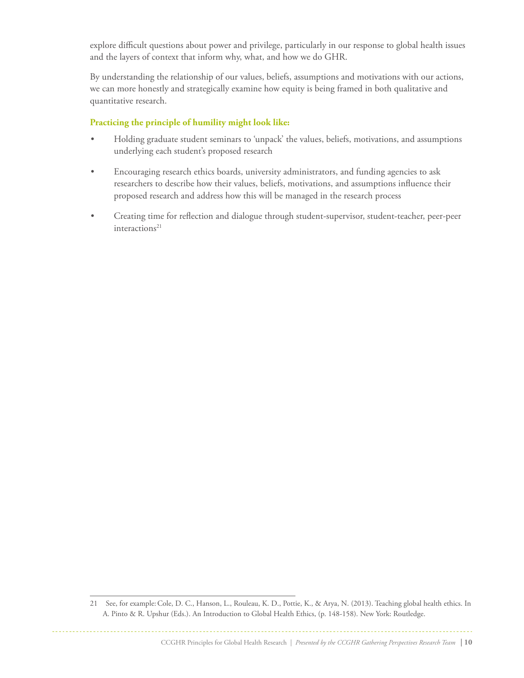explore difficult questions about power and privilege, particularly in our response to global health issues and the layers of context that inform why, what, and how we do GHR.

By understanding the relationship of our values, beliefs, assumptions and motivations with our actions, we can more honestly and strategically examine how equity is being framed in both qualitative and quantitative research.

#### **Practicing the principle of humility might look like:**

- Holding graduate student seminars to 'unpack' the values, beliefs, motivations, and assumptions underlying each student's proposed research
- • Encouraging research ethics boards, university administrators, and funding agencies to ask researchers to describe how their values, beliefs, motivations, and assumptions influence their proposed research and address how this will be managed in the research process
- • Creating time for reflection and dialogue through student-supervisor, student-teacher, peer-peer  $interactions<sup>21</sup>$

<sup>21</sup> See, for example:Cole, D. C., Hanson, L., Rouleau, K. D., Pottie, K., & Arya, N. (2013). Teaching global health ethics. In A. Pinto & R. Upshur (Eds.). An Introduction to Global Health Ethics, (p. 148-158). New York: Routledge.